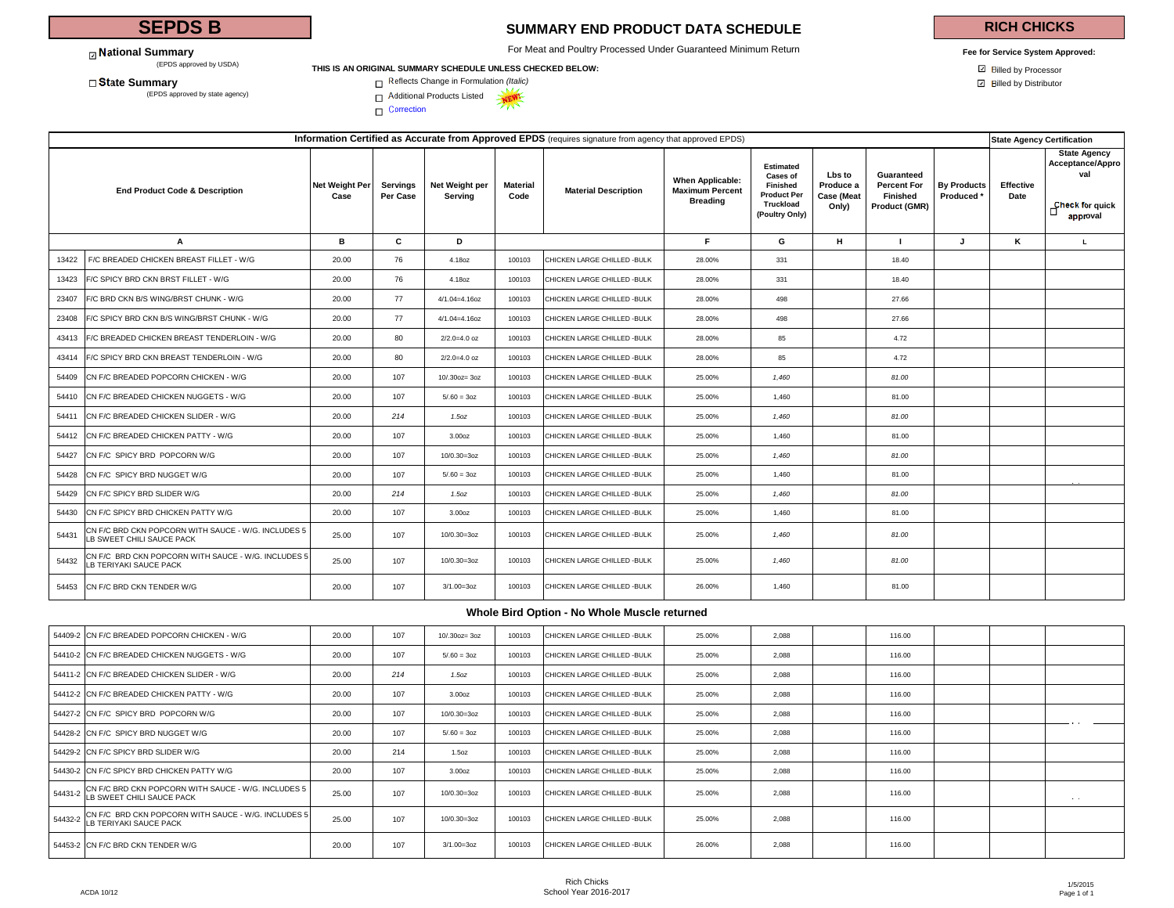# **SEPDS B**

**National Summary**<br>(EPDS approved by USDA)

# **SUMMARY END PRODUCT DATA SCHEDULE**

For Meat and Poultry Processed Under Guaranteed Minimum Return

## **RICH CHICKS**

**Fee for Service System Approved:**

#### (EPDS approved by USDA) **THIS IS AN ORIGINAL SUMMARY SCHEDULE UNLESS CHECKED BELOW:**<br>
 **THIS IS AN ORIGINAL SUMMARY SCHEDULE UNLESS CHECKED BELOW:**



□ Correction

| Information Certified as Accurate from Approved EPDS (requires signature from agency that approved EPDS) |                        |                      |                           |                         |                              |                                                               |                                                                                               |                                                   |                                                               | <b>State Agency Certification</b>           |                          |                                                                               |
|----------------------------------------------------------------------------------------------------------|------------------------|----------------------|---------------------------|-------------------------|------------------------------|---------------------------------------------------------------|-----------------------------------------------------------------------------------------------|---------------------------------------------------|---------------------------------------------------------------|---------------------------------------------|--------------------------|-------------------------------------------------------------------------------|
| <b>End Product Code &amp; Description</b>                                                                | Net Weight Per<br>Case | Servinas<br>Per Case | Net Weight per<br>Serving | <b>Material</b><br>Code | <b>Material Description</b>  | When Applicable:<br><b>Maximum Percent</b><br><b>Breading</b> | <b>Estimated</b><br>Cases of<br>Finished<br><b>Product Per</b><br>Truckload<br>(Poultry Only) | Lbs to<br>Produce a<br><b>Case (Meat</b><br>Only) | Guaranteed<br><b>Percent For</b><br>Finished<br>Product (GMR) | <b>By Products</b><br>Produced <sup>*</sup> | <b>Effective</b><br>Date | <b>State Agency</b><br>Acceptance/Appro<br>val<br>Check for quick<br>approval |
| A                                                                                                        | в                      | C                    | D                         |                         |                              | F.                                                            | G                                                                                             | н.                                                | $\mathbf{I}$                                                  | J                                           | ĸ                        | L.                                                                            |
| F/C BREADED CHICKEN BREAST FILLET - W/G<br>13422                                                         | 20.00                  | 76                   | 4.18oz                    | 100103                  | CHICKEN LARGE CHILLED - BULK | 28.00%                                                        | 331                                                                                           |                                                   | 18.40                                                         |                                             |                          |                                                                               |
| F/C SPICY BRD CKN BRST FILLET - W/G<br>13423                                                             | 20.00                  | 76                   | 4.18oz                    | 100103                  | CHICKEN LARGE CHILLED - BULK | 28.00%                                                        | 331                                                                                           |                                                   | 18.40                                                         |                                             |                          |                                                                               |
| F/C BRD CKN B/S WING/BRST CHUNK - W/G<br>23407                                                           | 20.00                  | 77                   | $4/1.04 = 4.16$ oz        | 100103                  | CHICKEN LARGE CHILLED - BULK | 28.00%                                                        | 498                                                                                           |                                                   | 27.66                                                         |                                             |                          |                                                                               |
| F/C SPICY BRD CKN B/S WING/BRST CHUNK - W/G<br>23408                                                     | 20.00                  | 77                   | $4/1.04 = 4.16$ oz        | 100103                  | CHICKEN LARGE CHILLED - BULK | 28.00%                                                        | 498                                                                                           |                                                   | 27.66                                                         |                                             |                          |                                                                               |
| F/C BREADED CHICKEN BREAST TENDERLOIN - W/G<br>43413                                                     | 20.00                  | 80                   | $2/2.0=4.0$ oz            | 100103                  | CHICKEN LARGE CHILLED - BULK | 28.00%                                                        | 85                                                                                            |                                                   | 4.72                                                          |                                             |                          |                                                                               |
| F/C SPICY BRD CKN BREAST TENDERLOIN - W/G<br>43414                                                       | 20.00                  | 80                   | $2/2.0 = 4.0$ oz          | 100103                  | CHICKEN LARGE CHILLED - BULK | 28.00%                                                        | 85                                                                                            |                                                   | 4.72                                                          |                                             |                          |                                                                               |
| CN F/C BREADED POPCORN CHICKEN - W/G<br>54409                                                            | 20.00                  | 107                  | 10/.30oz= 3oz             | 100103                  | CHICKEN LARGE CHILLED - BULK | 25.00%                                                        | 1,460                                                                                         |                                                   | 81.00                                                         |                                             |                          |                                                                               |
| CN F/C BREADED CHICKEN NUGGETS - W/G<br>54410                                                            | 20.00                  | 107                  | $5/0.60 = 30z$            | 100103                  | CHICKEN LARGE CHILLED - BULK | 25.00%                                                        | 1,460                                                                                         |                                                   | 81.00                                                         |                                             |                          |                                                                               |
| CN F/C BREADED CHICKEN SLIDER - W/G<br>54411                                                             | 20.00                  | 214                  | 1.5oz                     | 100103                  | CHICKEN LARGE CHILLED - BULK | 25.00%                                                        | 1,460                                                                                         |                                                   | 81.00                                                         |                                             |                          |                                                                               |
| CN F/C BREADED CHICKEN PATTY - W/G<br>54412                                                              | 20.00                  | 107                  | 3.00oz                    | 100103                  | CHICKEN LARGE CHILLED - BULK | 25.00%                                                        | 1,460                                                                                         |                                                   | 81.00                                                         |                                             |                          |                                                                               |
| CN F/C SPICY BRD POPCORN W/G<br>54427                                                                    | 20.00                  | 107                  | $10/0.30 = 3oz$           | 100103                  | CHICKEN LARGE CHILLED - BULK | 25.00%                                                        | 1,460                                                                                         |                                                   | 81.00                                                         |                                             |                          |                                                                               |
| CN F/C SPICY BRD NUGGET W/G<br>54428                                                                     | 20.00                  | 107                  | $5/0.60 = 30z$            | 100103                  | CHICKEN LARGE CHILLED - BULK | 25.00%                                                        | 1,460                                                                                         |                                                   | 81.00                                                         |                                             |                          |                                                                               |
| CN F/C SPICY BRD SLIDER W/G<br>54429                                                                     | 20.00                  | 214                  | 1.5oz                     | 100103                  | CHICKEN LARGE CHILLED - BULK | 25.00%                                                        | 1,460                                                                                         |                                                   | 81.00                                                         |                                             |                          |                                                                               |
| CN F/C SPICY BRD CHICKEN PATTY W/G<br>54430                                                              | 20.00                  | 107                  | 3.00 <sub>oz</sub>        | 100103                  | CHICKEN LARGE CHILLED - BULK | 25.00%                                                        | 1,460                                                                                         |                                                   | 81.00                                                         |                                             |                          |                                                                               |
| CN F/C BRD CKN POPCORN WITH SAUCE - W/G. INCLUDES 5<br>54431<br>LB SWEET CHILI SAUCE PACK                | 25.00                  | 107                  | $10/0.30 = 3oz$           | 100103                  | CHICKEN LARGE CHILLED - BULK | 25.00%                                                        | 1,460                                                                                         |                                                   | 81.00                                                         |                                             |                          |                                                                               |
| CN F/C BRD CKN POPCORN WITH SAUCE - W/G. INCLUDES 5<br>54432<br>LB TERIYAKI SAUCE PACK                   | 25.00                  | 107                  | $10/0.30 = 3oz$           | 100103                  | CHICKEN LARGE CHILLED - BULK | 25.00%                                                        | 1,460                                                                                         |                                                   | 81.00                                                         |                                             |                          |                                                                               |
| CN F/C BRD CKN TENDER W/G<br>54453                                                                       | 20.00                  | 107                  | $3/1.00 = 3oz$            | 100103                  | CHICKEN LARGE CHILLED - BULK | 26.00%                                                        | 1,460                                                                                         |                                                   | 81.00                                                         |                                             |                          |                                                                               |

### **Whole Bird Option - No Whole Muscle returned**

| 54409-2 CN F/C BREADED POPCORN CHICKEN - W/G                                             | 20.00 | 107 | $10/0.300z = 30z$  | 100103 | CHICKEN LARGE CHILLED - BULK | 25.00% | 2.088 | 116.00 |  |               |
|------------------------------------------------------------------------------------------|-------|-----|--------------------|--------|------------------------------|--------|-------|--------|--|---------------|
| 54410-2 CN F/C BREADED CHICKEN NUGGETS - W/G                                             | 20.00 | 107 | $5/0.60 = 30z$     | 100103 | CHICKEN LARGE CHILLED - BULK | 25.00% | 2.088 | 116.00 |  |               |
| 54411-2 CN F/C BREADED CHICKEN SLIDER - W/G                                              | 20.00 | 214 | 1.5oz              | 100103 | CHICKEN LARGE CHILLED - BULK | 25.00% | 2.088 | 116.00 |  |               |
| 54412-2 CN F/C BREADED CHICKEN PATTY - W/G                                               | 20.00 | 107 | 3.00 <sub>oz</sub> | 100103 | CHICKEN LARGE CHILLED - BULK | 25.00% | 2.088 | 116.00 |  |               |
| 54427-2 CN F/C SPICY BRD POPCORN W/G                                                     | 20.00 | 107 | $10/0.30 = 3oz$    | 100103 | CHICKEN LARGE CHILLED - BULK | 25.00% | 2.088 | 116.00 |  |               |
| 54428-2 ICN F/C SPICY BRD NUGGET W/G                                                     | 20.00 | 107 | $5/0.60 = 30z$     | 100103 | CHICKEN LARGE CHILLED - BULK | 25.00% | 2.088 | 116.00 |  |               |
| 54429-2 ICN F/C SPICY BRD SLIDER W/G                                                     | 20.00 | 214 | 1.5 <sub>oz</sub>  | 100103 | CHICKEN LARGE CHILLED - BULK | 25.00% | 2.088 | 116.00 |  |               |
| 54430-2 CN F/C SPICY BRD CHICKEN PATTY W/G                                               | 20.00 | 107 | 3.00oz             | 100103 | CHICKEN LARGE CHILLED - BULK | 25.00% | 2,088 | 116.00 |  |               |
| 54431-2 CN F/C BRD CKN POPCORN WITH SAUCE - W/G. INCLUDES 5<br>LB SWEET CHILI SAUCE PACK | 25.00 | 107 | $10/0.30 = 3oz$    | 100103 | CHICKEN LARGE CHILLED - BULK | 25.00% | 2.088 | 116.00 |  | $\sim$ $\sim$ |
| 54432-2 CN F/C BRD CKN POPCORN WITH SAUCE - W/G. INCLUDES 5<br>LB TERIYAKI SAUCE PACK    | 25.00 | 107 | $10/0.30 = 3oz$    | 100103 | CHICKEN LARGE CHILLED - BULK | 25.00% | 2.088 | 116.00 |  |               |
| 54453-2 CN F/C BRD CKN TENDER W/G                                                        | 20.00 | 107 | $3/1.00 = 3oz$     | 100103 | CHICKEN LARGE CHILLED - BULK | 26.00% | 2.088 | 116.00 |  |               |